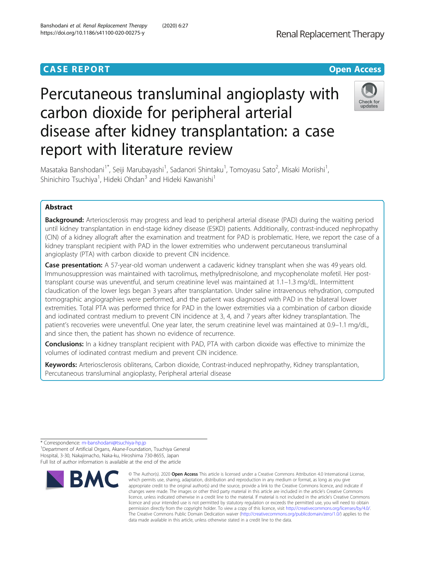# **CASE REPORT CASE REPORT CASE REPORT**

# Percutaneous transluminal angioplasty with carbon dioxide for peripheral arterial disease after kidney transplantation: a case report with literature review



Masataka Banshodani<sup>1\*</sup>, Seiji Marubayashi<sup>1</sup>, Sadanori Shintaku<sup>1</sup>, Tomoyasu Sato<sup>2</sup>, Misaki Moriishi<sup>1</sup> , Shinichiro Tsuchiya<sup>1</sup>, Hideki Ohdan<sup>3</sup> and Hideki Kawanishi<sup>1</sup>

## Abstract

**Background:** Arteriosclerosis may progress and lead to peripheral arterial disease (PAD) during the waiting period until kidney transplantation in end-stage kidney disease (ESKD) patients. Additionally, contrast-induced nephropathy (CIN) of a kidney allograft after the examination and treatment for PAD is problematic. Here, we report the case of a kidney transplant recipient with PAD in the lower extremities who underwent percutaneous transluminal angioplasty (PTA) with carbon dioxide to prevent CIN incidence.

Case presentation: A 57-year-old woman underwent a cadaveric kidney transplant when she was 49 years old. Immunosuppression was maintained with tacrolimus, methylprednisolone, and mycophenolate mofetil. Her posttransplant course was uneventful, and serum creatinine level was maintained at 1.1–1.3 mg/dL. Intermittent claudication of the lower legs began 3 years after transplantation. Under saline intravenous rehydration, computed tomographic angiographies were performed, and the patient was diagnosed with PAD in the bilateral lower extremities. Total PTA was performed thrice for PAD in the lower extremities via a combination of carbon dioxide and iodinated contrast medium to prevent CIN incidence at 3, 4, and 7 years after kidney transplantation. The patient's recoveries were uneventful. One year later, the serum creatinine level was maintained at 0.9–1.1 mg/dL, and since then, the patient has shown no evidence of recurrence.

**Conclusions:** In a kidney transplant recipient with PAD, PTA with carbon dioxide was effective to minimize the volumes of iodinated contrast medium and prevent CIN incidence.

Keywords: Arteriosclerosis obliterans, Carbon dioxide, Contrast-induced nephropathy, Kidney transplantation, Percutaneous transluminal angioplasty, Peripheral arterial disease

\* Correspondence: [m-banshodani@tsuchiya-hp.jp](mailto:m-banshodani@tsuchiya-hp.jp) <sup>1</sup>

<sup>1</sup> Department of Artificial Organs, Akane-Foundation, Tsuchiya General Hospital, 3-30, Nakajimacho, Naka-ku, Hiroshima 730-8655, Japan Full list of author information is available at the end of the article



<sup>©</sup> The Author(s), 2020 **Open Access** This article is licensed under a Creative Commons Attribution 4.0 International License, which permits use, sharing, adaptation, distribution and reproduction in any medium or format, as long as you give appropriate credit to the original author(s) and the source, provide a link to the Creative Commons licence, and indicate if changes were made. The images or other third party material in this article are included in the article's Creative Commons licence, unless indicated otherwise in a credit line to the material. If material is not included in the article's Creative Commons licence and your intended use is not permitted by statutory regulation or exceeds the permitted use, you will need to obtain permission directly from the copyright holder. To view a copy of this licence, visit [http://creativecommons.org/licenses/by/4.0/.](http://creativecommons.org/licenses/by/4.0/) The Creative Commons Public Domain Dedication waiver [\(http://creativecommons.org/publicdomain/zero/1.0/](http://creativecommons.org/publicdomain/zero/1.0/)) applies to the data made available in this article, unless otherwise stated in a credit line to the data.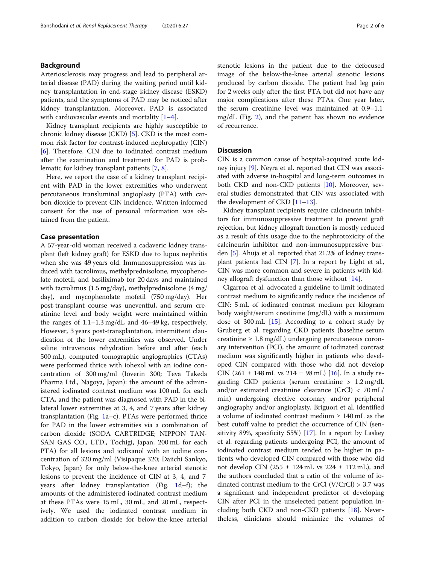#### Background

Arteriosclerosis may progress and lead to peripheral arterial disease (PAD) during the waiting period until kidney transplantation in end-stage kidney disease (ESKD) patients, and the symptoms of PAD may be noticed after kidney transplantation. Moreover, PAD is associated with cardiovascular events and mortality  $[1-4]$  $[1-4]$  $[1-4]$  $[1-4]$ .

Kidney transplant recipients are highly susceptible to chronic kidney disease (CKD) [[5](#page-5-0)]. CKD is the most common risk factor for contrast-induced nephropathy (CIN) [[6\]](#page-5-0). Therefore, CIN due to iodinated contrast medium after the examination and treatment for PAD is problematic for kidney transplant patients [\[7,](#page-5-0) [8\]](#page-5-0).

Here, we report the case of a kidney transplant recipient with PAD in the lower extremities who underwent percutaneous transluminal angioplasty (PTA) with carbon dioxide to prevent CIN incidence. Written informed consent for the use of personal information was obtained from the patient.

### Case presentation

A 57-year-old woman received a cadaveric kidney transplant (left kidney graft) for ESKD due to lupus nephritis when she was 49 years old. Immunosuppression was induced with tacrolimus, methylprednisolone, mycophenolate mofetil, and basiliximab for 20 days and maintained with tacrolimus (1.5 mg/day), methylprednisolone (4 mg/ day), and mycophenolate mofetil (750 mg/day). Her post-transplant course was uneventful, and serum creatinine level and body weight were maintained within the ranges of 1.1–1.3 mg/dL and 46–49 kg, respectively. However, 3 years post-transplantation, intermittent claudication of the lower extremities was observed. Under saline intravenous rehydration before and after (each 500 mL), computed tomographic angiographies (CTAs) were performed thrice with iohexol with an iodine concentration of 300 mg/ml (Ioverin 300; Teva Takeda Pharma Ltd., Nagoya, Japan): the amount of the administered iodinated contrast medium was 100 mL for each CTA, and the patient was diagnosed with PAD in the bilateral lower extremities at 3, 4, and 7 years after kidney transplantation (Fig. [1](#page-2-0)a–c). PTAs were performed thrice for PAD in the lower extremities via a combination of carbon dioxide (SODA CARTRIDGE; NIPPON TAN-SAN GAS CO., LTD., Tochigi, Japan; 200 mL for each PTA) for all lesions and iodixanol with an iodine concentration of 320 mg/ml (Visipaque 320; Daiichi Sankyo, Tokyo, Japan) for only below-the-knee arterial stenotic lesions to prevent the incidence of CIN at 3, 4, and 7 years after kidney transplantation (Fig. [1d](#page-2-0)–f); the amounts of the administered iodinated contrast medium at these PTAs were 15 mL, 30 mL, and 20 mL, respectively. We used the iodinated contrast medium in addition to carbon dioxide for below-the-knee arterial

stenotic lesions in the patient due to the defocused image of the below-the-knee arterial stenotic lesions produced by carbon dioxide. The patient had leg pain for 2 weeks only after the first PTA but did not have any major complications after these PTAs. One year later, the serum creatinine level was maintained at 0.9–1.1 mg/dL (Fig. [2\)](#page-3-0), and the patient has shown no evidence of recurrence.

#### **Discussion**

CIN is a common cause of hospital-acquired acute kidney injury [[9\]](#page-5-0). Neyra et al. reported that CIN was associated with adverse in-hospital and long-term outcomes in both CKD and non-CKD patients [\[10](#page-5-0)]. Moreover, several studies demonstrated that CIN was associated with the development of CKD [\[11](#page-5-0)–[13\]](#page-5-0).

Kidney transplant recipients require calcineurin inhibitors for immunosuppressive treatment to prevent graft rejection, but kidney allograft function is mostly reduced as a result of this usage due to the nephrotoxicity of the calcineurin inhibitor and non-immunosuppressive burden [[5\]](#page-5-0). Ahuja et al. reported that 21.2% of kidney transplant patients had CIN [\[7](#page-5-0)]. In a report by Light et al., CIN was more common and severe in patients with kidney allograft dysfunction than those without [\[14](#page-5-0)].

Cigarroa et al. advocated a guideline to limit iodinated contrast medium to significantly reduce the incidence of CIN: 5 mL of iodinated contrast medium per kilogram body weight/serum creatinine (mg/dL) with a maximum dose of 300 mL [[15\]](#page-5-0). According to a cohort study by Gruberg et al. regarding CKD patients (baseline serum creatinine  $\geq 1.8$  mg/dL) undergoing percutaneous coronary intervention (PCI), the amount of iodinated contrast medium was significantly higher in patients who developed CIN compared with those who did not develop CIN (261  $\pm$  148 mL vs 214  $\pm$  98 mL) [\[16](#page-5-0)]. In a study regarding CKD patients (serum creatinine > 1.2 mg/dL and/or estimated creatinine clearance (CrCl) < 70 mL/ min) undergoing elective coronary and/or peripheral angiography and/or angioplasty, Briguori et al. identified a volume of iodinated contrast medium ≥ 140 mL as the best cutoff value to predict the occurrence of CIN (sensitivity 89%, specificity 55%) [[17\]](#page-5-0). In a report by Laskey et al. regarding patients undergoing PCI, the amount of iodinated contrast medium tended to be higher in patients who developed CIN compared with those who did not develop CIN (255  $\pm$  124 mL vs 224  $\pm$  112 mL), and the authors concluded that a ratio of the volume of iodinated contrast medium to the CrCl (V/CrCl)  $> 3.7$  was a significant and independent predictor of developing CIN after PCI in the unselected patient population including both CKD and non-CKD patients [[18\]](#page-5-0). Nevertheless, clinicians should minimize the volumes of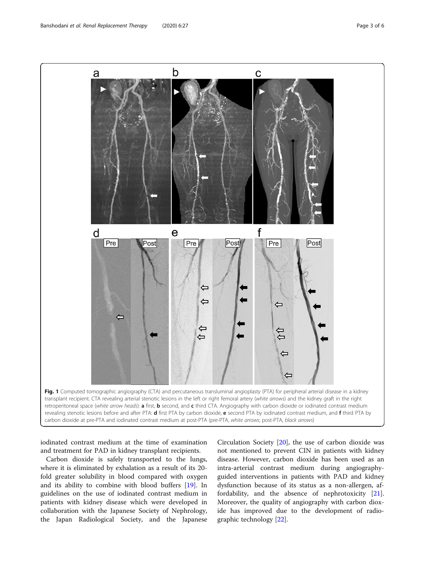<span id="page-2-0"></span>

iodinated contrast medium at the time of examination and treatment for PAD in kidney transplant recipients.

Carbon dioxide is safely transported to the lungs, where it is eliminated by exhalation as a result of its 20 fold greater solubility in blood compared with oxygen and its ability to combine with blood buffers [[19\]](#page-5-0). In guidelines on the use of iodinated contrast medium in patients with kidney disease which were developed in collaboration with the Japanese Society of Nephrology, the Japan Radiological Society, and the Japanese

Circulation Society [\[20\]](#page-5-0), the use of carbon dioxide was not mentioned to prevent CIN in patients with kidney disease. However, carbon dioxide has been used as an intra-arterial contrast medium during angiographyguided interventions in patients with PAD and kidney dysfunction because of its status as a non-allergen, affordability, and the absence of nephrotoxicity [\[21](#page-5-0)]. Moreover, the quality of angiography with carbon dioxide has improved due to the development of radiographic technology [[22](#page-5-0)].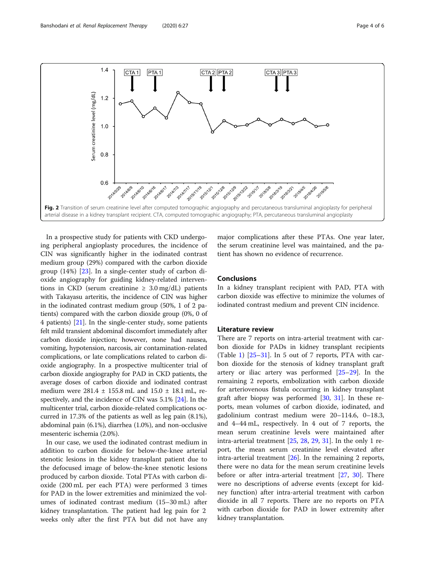<span id="page-3-0"></span>

In a prospective study for patients with CKD undergoing peripheral angioplasty procedures, the incidence of CIN was significantly higher in the iodinated contrast medium group (29%) compared with the carbon dioxide group (14%) [\[23](#page-5-0)]. In a single-center study of carbon dioxide angiography for guiding kidney-related interventions in CKD (serum creatinine  $\geq 3.0$  mg/dL) patients with Takayasu arteritis, the incidence of CIN was higher in the iodinated contrast medium group (50%, 1 of 2 patients) compared with the carbon dioxide group (0%, 0 of 4 patients) [\[21\]](#page-5-0). In the single-center study, some patients felt mild transient abdominal discomfort immediately after carbon dioxide injection; however, none had nausea, vomiting, hypotension, narcosis, air contamination-related complications, or late complications related to carbon dioxide angiography. In a prospective multicenter trial of carbon dioxide angiography for PAD in CKD patients, the average doses of carbon dioxide and iodinated contrast medium were 281.4 ± 155.8 mL and 15.0 ± 18.1 mL, respectively, and the incidence of CIN was 5.1% [\[24](#page-5-0)]. In the multicenter trial, carbon dioxide-related complications occurred in 17.3% of the patients as well as leg pain (8.1%), abdominal pain (6.1%), diarrhea (1.0%), and non-occlusive mesenteric ischemia (2.0%).

In our case, we used the iodinated contrast medium in addition to carbon dioxide for below-the-knee arterial stenotic lesions in the kidney transplant patient due to the defocused image of below-the-knee stenotic lesions produced by carbon dioxide. Total PTAs with carbon dioxide (200 mL per each PTA) were performed 3 times for PAD in the lower extremities and minimized the volumes of iodinated contrast medium (15–30 mL) after kidney transplantation. The patient had leg pain for 2 weeks only after the first PTA but did not have any major complications after these PTAs. One year later, the serum creatinine level was maintained, and the patient has shown no evidence of recurrence.

#### Conclusions

In a kidney transplant recipient with PAD, PTA with carbon dioxide was effective to minimize the volumes of iodinated contrast medium and prevent CIN incidence.

#### Literature review

There are 7 reports on intra-arterial treatment with carbon dioxide for PADs in kidney transplant recipients (Table [1\)](#page-4-0)  $[25-31]$  $[25-31]$  $[25-31]$  $[25-31]$  $[25-31]$ . In 5 out of 7 reports, PTA with carbon dioxide for the stenosis of kidney transplant graft artery or iliac artery was performed [\[25](#page-5-0)–[29\]](#page-5-0). In the remaining 2 reports, embolization with carbon dioxide for arteriovenous fistula occurring in kidney transplant graft after biopsy was performed [[30,](#page-5-0) [31](#page-5-0)]. In these reports, mean volumes of carbon dioxide, iodinated, and gadolinium contrast medium were 20–114.6, 0–18.3, and 4–44 mL, respectively. In 4 out of 7 reports, the mean serum creatinine levels were maintained after intra-arterial treatment [[25,](#page-5-0) [28](#page-5-0), [29](#page-5-0), [31](#page-5-0)]. In the only 1 report, the mean serum creatinine level elevated after intra-arterial treatment [[26](#page-5-0)]. In the remaining 2 reports, there were no data for the mean serum creatinine levels before or after intra-arterial treatment [\[27](#page-5-0), [30\]](#page-5-0). There were no descriptions of adverse events (except for kidney function) after intra-arterial treatment with carbon dioxide in all 7 reports. There are no reports on PTA with carbon dioxide for PAD in lower extremity after kidney transplantation.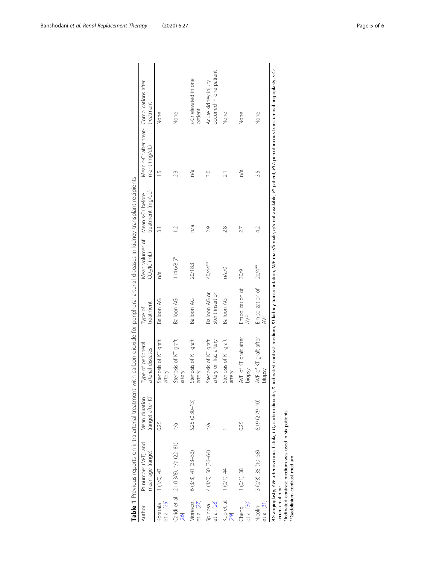|                         |                                                                                     |                                   | Table 1 Previous reports on intra-arterial treatment with carbon dioxide for peripheral arterial diseases in kidney transplant recipients                                                                                              |                                  |                                                              |                   |                                                            |                                                |
|-------------------------|-------------------------------------------------------------------------------------|-----------------------------------|----------------------------------------------------------------------------------------------------------------------------------------------------------------------------------------------------------------------------------------|----------------------------------|--------------------------------------------------------------|-------------------|------------------------------------------------------------|------------------------------------------------|
| Author                  | Pt number (M/F), and<br>mean age (range)                                            | (range) after KT<br>Mean duration | Type of peripheral<br>arterial diseases                                                                                                                                                                                                | treatment<br>Type of             | Mean volumes of Mean s-Cr before<br>CO <sub>2</sub> /IC (mL) | treatment (mg/dL) | Mean s-Cr after treat- Complications after<br>ment (mg/dL) | treatment                                      |
| et al. [25]<br>Koratala | 1(1/0), 43                                                                          | 0.25                              | Stenosis of KT graft<br>artery                                                                                                                                                                                                         | Balloon AG                       | n/a                                                          | $\overline{31}$   | $\frac{5}{1}$                                              | None                                           |
| 26                      | Caridi et al. 21 (13/8), n/a (22-81)                                                | n/a                               | itenosis of KT graft<br>artery                                                                                                                                                                                                         | Balloon AG                       | $114.6/8.5*$                                                 |                   | 2.3                                                        | None                                           |
| et al. [27]<br>Moresco  | 6 (3/3), 41 (33-53)                                                                 | 5.25 (0.30-13)                    | Stenosis of KT graft<br>artery                                                                                                                                                                                                         | <b>Balloon AG</b>                | 20/18.3                                                      | n/a               | n/a                                                        | s-Cr elevated in one<br>patient                |
| et al. [28]<br>Spinosa  | 4 (4/0), 50 (36-64)                                                                 | n/a                               | itenosis of KT graft<br>artery or iliac artery                                                                                                                                                                                         | stent insertion<br>Balloon AG or | 40/44**                                                      | 2.9               | 3.0                                                        | occurred in one patient<br>Acute kidney injury |
| Kuo et al.<br>[29]      | 1 (0/1), 44                                                                         |                                   | Stenosis of KT graft<br>artery                                                                                                                                                                                                         | Balloon AG                       | n/a/0                                                        | 2.8               | $\overline{2}$ .                                           | None                                           |
| et al. [30]<br>Cheng    | 1(0/1), 38                                                                          | 0.25                              | WF of KT graft after<br>ysdoic                                                                                                                                                                                                         | Embolization of<br>AVF           | 30/9                                                         | 27                | n/a                                                        | None                                           |
| Nicolini<br>et al. [31] | $3(0/3), 35(10-58)$                                                                 | $6.19(2.79 - 10)$                 | WF of KT graft after<br>Vsdoic                                                                                                                                                                                                         | Embolization of<br>AVF           | 20/4**                                                       | 42                | 3.5                                                        | None                                           |
| serum creatinine        | *lodinated contrast medium was used in six patients<br>**Gadolinium contrast medium |                                   | AG angioplasty, AVF arteriovenous fistula, CO <sub>2</sub> carbon dioxide, IC iodinated contrast medium, IC kidney transplantation, <i>MIF</i> male/female, not available, Pt patient, PTA percutaneous transluminal angioplasty, s-Cr |                                  |                                                              |                   |                                                            |                                                |

<span id="page-4-0"></span>Banshodani et al. Renal Replacement Therapy (2020) 6:27 example 2001 12:38 and 2012 12:38 Page 5 of 6